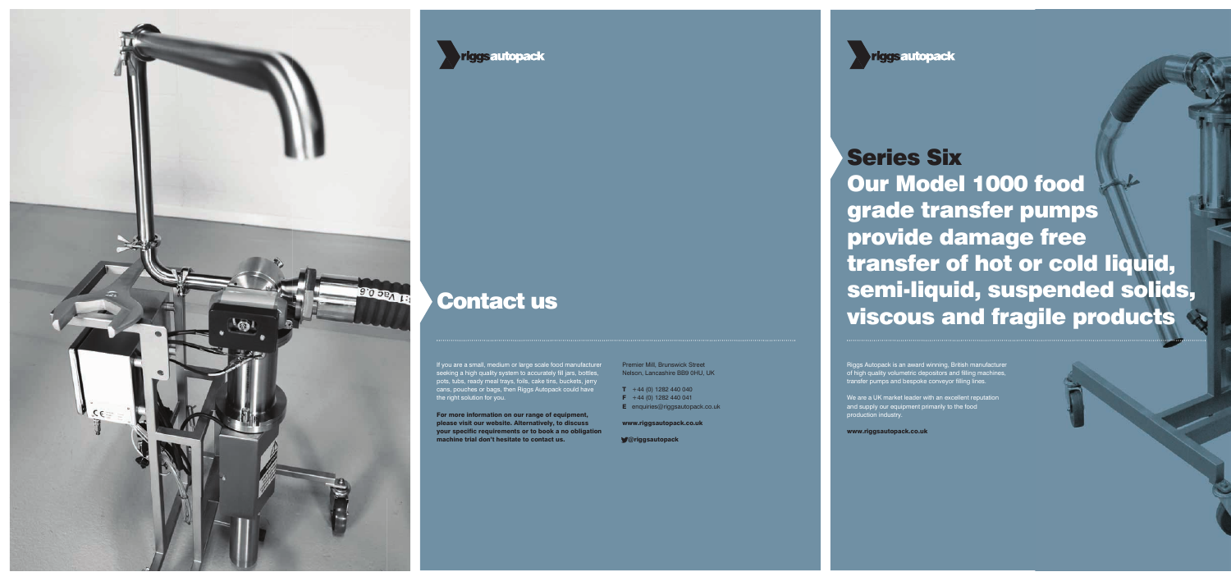

### riggsautopack

We are a UK market leader with an excellent reputation and supply our equipment primarily to the food production industry.

www.riggsautopack.co.uk

# Series Six Our Model 1000 food grade transfer pumps provide damage free transfer of hot or cold liquid, semi-liquid, suspended solids, viscous and fragile products Contact us

Riggs Autopack is an award winning, British manufacturer of high quality volumetric depositors and filling machines, transfer pumps and bespoke conveyor filling lines.

If you are a small, medium or large scale food manufacturer seeking a high quality system to accurately fill jars, bottles, pots, tubs, ready meal trays, foils, cake tins, buckets, jerry cans, pouches or bags, then Riggs Autopack could have the right solution for you.

For more information on our range of equipment, please visit our website. Alternatively, to discuss your specific requirements or to book a no obligation machine trial don't hesitate to contact us.

Premier Mill, Brunswick Street Nelson, Lancashire BB9 0HU, UK

- $T +44 (0) 1282 440 040$
- $\mathsf{F}$  +44 (0) 1282 440 041
- **E** enquiries@riggsautopack.co.uk

www.riggsautopack.co.uk

@riggsautopack